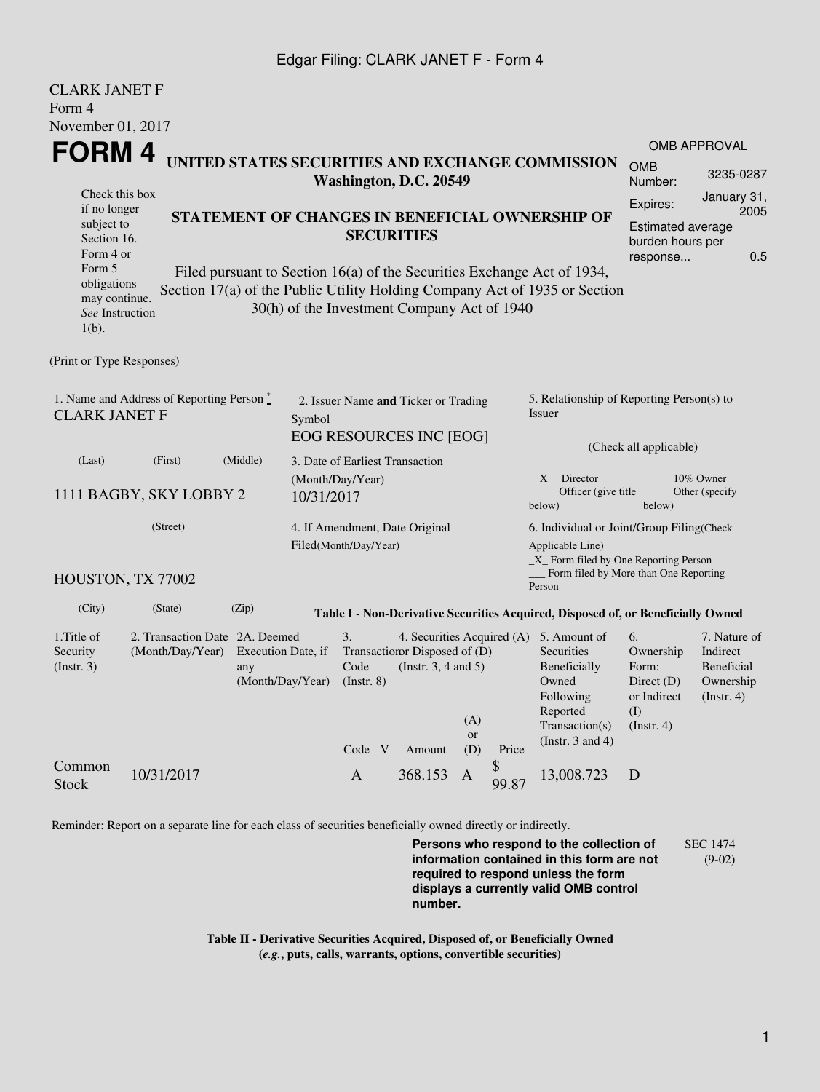## Edgar Filing: CLARK JANET F - Form 4

| <b>CLARK JANET F</b>                                                                                 |                                                                                                     |                                                                            |                                                                                                                                 |                                                 |           |             |                                                                                  |                                          |                                                     |  |
|------------------------------------------------------------------------------------------------------|-----------------------------------------------------------------------------------------------------|----------------------------------------------------------------------------|---------------------------------------------------------------------------------------------------------------------------------|-------------------------------------------------|-----------|-------------|----------------------------------------------------------------------------------|------------------------------------------|-----------------------------------------------------|--|
| Form 4                                                                                               |                                                                                                     |                                                                            |                                                                                                                                 |                                                 |           |             |                                                                                  |                                          |                                                     |  |
| November 01, 2017                                                                                    |                                                                                                     |                                                                            |                                                                                                                                 |                                                 |           |             |                                                                                  |                                          |                                                     |  |
| FORM 4                                                                                               |                                                                                                     |                                                                            |                                                                                                                                 |                                                 |           |             | <b>OMB APPROVAL</b>                                                              |                                          |                                                     |  |
|                                                                                                      | UNITED STATES SECURITIES AND EXCHANGE COMMISSION<br>Washington, D.C. 20549                          |                                                                            |                                                                                                                                 |                                                 |           |             |                                                                                  | <b>OMB</b><br>Number:                    | 3235-0287                                           |  |
| Check this box                                                                                       |                                                                                                     |                                                                            |                                                                                                                                 |                                                 |           |             |                                                                                  | Expires:                                 | January 31,                                         |  |
| if no longer<br>subject to                                                                           |                                                                                                     |                                                                            |                                                                                                                                 | STATEMENT OF CHANGES IN BENEFICIAL OWNERSHIP OF |           |             |                                                                                  | Estimated average                        | 2005                                                |  |
| Section 16.                                                                                          |                                                                                                     | <b>SECURITIES</b>                                                          |                                                                                                                                 |                                                 |           |             |                                                                                  | burden hours per                         |                                                     |  |
| Form 4 or<br>Form 5                                                                                  |                                                                                                     | Filed pursuant to Section 16(a) of the Securities Exchange Act of 1934,    |                                                                                                                                 |                                                 |           |             |                                                                                  | response                                 | 0.5                                                 |  |
| obligations                                                                                          |                                                                                                     | Section 17(a) of the Public Utility Holding Company Act of 1935 or Section |                                                                                                                                 |                                                 |           |             |                                                                                  |                                          |                                                     |  |
| may continue.                                                                                        |                                                                                                     | 30(h) of the Investment Company Act of 1940                                |                                                                                                                                 |                                                 |           |             |                                                                                  |                                          |                                                     |  |
| See Instruction<br>$1(b)$ .                                                                          |                                                                                                     |                                                                            |                                                                                                                                 |                                                 |           |             |                                                                                  |                                          |                                                     |  |
|                                                                                                      |                                                                                                     |                                                                            |                                                                                                                                 |                                                 |           |             |                                                                                  |                                          |                                                     |  |
| (Print or Type Responses)                                                                            |                                                                                                     |                                                                            |                                                                                                                                 |                                                 |           |             |                                                                                  |                                          |                                                     |  |
| 1. Name and Address of Reporting Person $\stackrel{*}{\mathbb{L}}$<br><b>CLARK JANET F</b><br>Symbol |                                                                                                     |                                                                            | 2. Issuer Name and Ticker or Trading                                                                                            |                                                 |           |             | 5. Relationship of Reporting Person(s) to<br>Issuer                              |                                          |                                                     |  |
|                                                                                                      |                                                                                                     |                                                                            |                                                                                                                                 | EOG RESOURCES INC [EOG]                         |           |             |                                                                                  |                                          |                                                     |  |
| (Last)                                                                                               | (First)                                                                                             | (Middle)                                                                   | 3. Date of Earliest Transaction                                                                                                 |                                                 |           |             |                                                                                  | (Check all applicable)                   |                                                     |  |
|                                                                                                      |                                                                                                     |                                                                            | (Month/Day/Year)                                                                                                                |                                                 |           |             | $X$ Director                                                                     |                                          | 10% Owner                                           |  |
|                                                                                                      | 1111 BAGBY, SKY LOBBY 2                                                                             | 10/31/2017                                                                 |                                                                                                                                 |                                                 |           |             | Officer (give title)<br>below)                                                   | below)                                   | Other (specify                                      |  |
| (Street)                                                                                             |                                                                                                     |                                                                            | 4. If Amendment, Date Original<br>Filed(Month/Day/Year)                                                                         |                                                 |           |             | 6. Individual or Joint/Group Filing(Check                                        |                                          |                                                     |  |
|                                                                                                      |                                                                                                     |                                                                            |                                                                                                                                 |                                                 |           |             | Applicable Line)<br>$\_X$ Form filed by One Reporting Person                     |                                          |                                                     |  |
|                                                                                                      | HOUSTON, TX 77002                                                                                   |                                                                            |                                                                                                                                 |                                                 |           |             | Form filed by More than One Reporting                                            |                                          |                                                     |  |
|                                                                                                      |                                                                                                     |                                                                            |                                                                                                                                 |                                                 |           |             | Person                                                                           |                                          |                                                     |  |
| (City)                                                                                               | (State)                                                                                             | (Zip)                                                                      |                                                                                                                                 |                                                 |           |             | Table I - Non-Derivative Securities Acquired, Disposed of, or Beneficially Owned |                                          |                                                     |  |
| 1. Title of<br>Security<br>(Insert. 3)                                                               | 2. Transaction Date 2A. Deemed<br>(Month/Day/Year)<br>Execution Date, if<br>any<br>(Month/Day/Year) |                                                                            | 3.<br>4. Securities Acquired (A) 5. Amount of<br>Transaction Disposed of (D)<br>(Instr. $3, 4$ and $5$ )<br>Code<br>(Insert. 8) |                                                 |           |             | Securities<br>Beneficially<br>Owned                                              | 6.<br>Ownership<br>Form:<br>Direct $(D)$ | 7. Nature of<br>Indirect<br>Beneficial<br>Ownership |  |
|                                                                                                      |                                                                                                     |                                                                            |                                                                                                                                 |                                                 |           |             | Following<br>Reported                                                            | or Indirect<br>(I)                       | (Instr. 4)                                          |  |
|                                                                                                      |                                                                                                     |                                                                            |                                                                                                                                 |                                                 | (A)<br>or |             | Transaction(s)                                                                   | (Insert. 4)                              |                                                     |  |
|                                                                                                      |                                                                                                     |                                                                            | Code V                                                                                                                          | Amount                                          | (D)       | Price       | (Instr. $3$ and $4$ )                                                            |                                          |                                                     |  |
| Common<br><b>Stock</b>                                                                               | 10/31/2017                                                                                          |                                                                            | $\mathbf{A}$                                                                                                                    | 368.153                                         | A         | \$<br>99.87 | 13,008.723                                                                       | D                                        |                                                     |  |

Reminder: Report on a separate line for each class of securities beneficially owned directly or indirectly.

**Persons who respond to the collection of information contained in this form are not required to respond unless the form displays a currently valid OMB control number.** SEC 1474 (9-02)

**Table II - Derivative Securities Acquired, Disposed of, or Beneficially Owned (***e.g.***, puts, calls, warrants, options, convertible securities)**